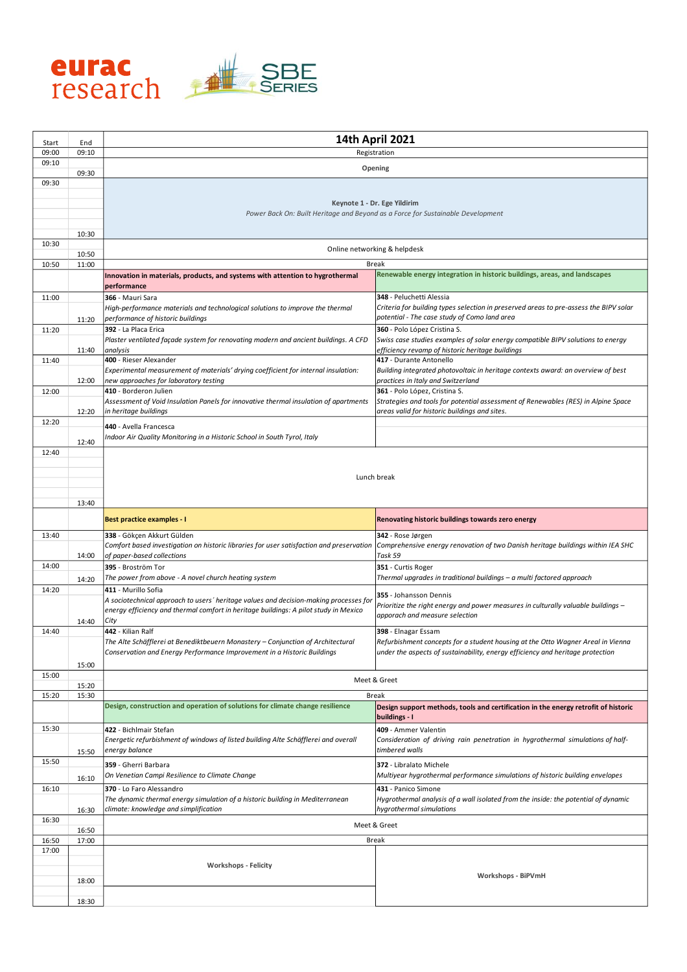

| Start          | End   | 14th April 2021                                                                                                             |                                                                                                                                       |
|----------------|-------|-----------------------------------------------------------------------------------------------------------------------------|---------------------------------------------------------------------------------------------------------------------------------------|
| 09:00<br>09:10 | 09:10 | Registration                                                                                                                |                                                                                                                                       |
|                | 09:30 | Opening                                                                                                                     |                                                                                                                                       |
| 09:30          |       |                                                                                                                             |                                                                                                                                       |
|                |       |                                                                                                                             | Keynote 1 - Dr. Ege Yildirim                                                                                                          |
|                |       |                                                                                                                             | Power Back On: Built Heritage and Beyond as a Force for Sustainable Development                                                       |
|                | 10:30 |                                                                                                                             |                                                                                                                                       |
| 10:30          | 10:50 |                                                                                                                             | Online networking & helpdesk                                                                                                          |
| 10:50          | 11:00 |                                                                                                                             | <b>Break</b>                                                                                                                          |
|                |       | Innovation in materials, products, and systems with attention to hygrothermal<br>performance                                | Renewable energy integration in historic buildings, areas, and landscapes                                                             |
| 11:00          |       | 366 - Mauri Sara                                                                                                            | 348 - Peluchetti Alessia                                                                                                              |
|                | 11:20 | High-performance materials and technological solutions to improve the thermal<br>performance of historic buildings          | Criteria for building types selection in preserved areas to pre-assess the BIPV solar<br>potential - The case study of Como land area |
| 11:20          |       | 392 - La Placa Erica                                                                                                        | 360 - Polo López Cristina S.                                                                                                          |
|                | 11:40 | Plaster ventilated façade system for renovating modern and ancient buildings. A CFD<br>analysis                             | Swiss case studies examples of solar energy compatible BIPV solutions to energy<br>efficiency revamp of historic heritage buildings   |
| 11:40          |       | 400 - Rieser Alexander                                                                                                      | 417 - Durante Antonello                                                                                                               |
|                | 12:00 | Experimental measurement of materials' drying coefficient for internal insulation:<br>new approaches for laboratory testing | Building integrated photovoltaic in heritage contexts award: an overview of best<br>practices in Italy and Switzerland                |
| 12:00          |       | 410 - Borderon Julien                                                                                                       | 361 - Polo López, Cristina S.                                                                                                         |
|                | 12:20 | Assessment of Void Insulation Panels for innovative thermal insulation of apartments<br>in heritage buildings               | Strategies and tools for potential assessment of Renewables (RES) in Alpine Space<br>areas valid for historic buildings and sites.    |
| 12:20          |       | 440 - Avella Francesca                                                                                                      |                                                                                                                                       |
|                | 12:40 | Indoor Air Quality Monitoring in a Historic School in South Tyrol, Italy                                                    |                                                                                                                                       |
| 12:40          |       |                                                                                                                             |                                                                                                                                       |
|                |       |                                                                                                                             |                                                                                                                                       |
|                |       |                                                                                                                             | Lunch break                                                                                                                           |
|                |       |                                                                                                                             |                                                                                                                                       |
|                | 13:40 |                                                                                                                             |                                                                                                                                       |
|                |       | <b>Best practice examples - I</b>                                                                                           | Renovating historic buildings towards zero energy                                                                                     |
| 13:40          |       | 338 - Gökçen Akkurt Gülden<br>Comfort based investigation on historic libraries for user satisfaction and preservation      | 342 - Rose Jørgen<br>Comprehensive energy renovation of two Danish heritage buildings within IEA SHC                                  |
|                | 14:00 | of paper-based collections                                                                                                  | Task 59                                                                                                                               |
| 14:00          |       | 395 - Broström Tor                                                                                                          | 351 - Curtis Roger                                                                                                                    |
|                | 14:20 | The power from above - A novel church heating system                                                                        | Thermal upgrades in traditional buildings - a multi factored approach                                                                 |
| 14:20          |       | 411 - Murillo Sofia<br>A sociotechnical approach to users' heritage values and decision-making processes for                | 355 - Johansson Dennis                                                                                                                |
|                |       | energy efficiency and thermal comfort in heritage buildings: A pilot study in Mexico                                        | Prioritize the right energy and power measures in culturally valuable buildings -<br>apporach and measure selection                   |
|                | 14:40 | City<br>442 - Kilian Ralf                                                                                                   |                                                                                                                                       |
| 14:40          |       | The Alte Schäfflerei at Benediktbeuern Monastery - Conjunction of Architectural                                             | 398 - Elnagar Essam<br>Refurbishment concepts for a student housing at the Otto Wagner Areal in Vienna                                |
|                |       | Conservation and Energy Performance Improvement in a Historic Buildings                                                     | under the aspects of sustainability, energy efficiency and heritage protection                                                        |
|                | 15:00 |                                                                                                                             |                                                                                                                                       |
| 15:00          | 15:20 | Meet & Greet                                                                                                                |                                                                                                                                       |
| 15:20          | 15:30 | <b>Break</b>                                                                                                                |                                                                                                                                       |
|                |       | Design, construction and operation of solutions for climate change resilience                                               | Design support methods, tools and certification in the energy retrofit of historic<br>buildings - I                                   |
| 15:30          |       | 422 - Bichlmair Stefan                                                                                                      | 409 - Ammer Valentin                                                                                                                  |
|                |       | Energetic refurbishment of windows of listed building Alte Schäfflerei and overall<br>energy balance                        | Consideration of driving rain penetration in hygrothermal simulations of half-<br>timbered walls                                      |
| 15:50          | 15:50 |                                                                                                                             | 372 - Libralato Michele                                                                                                               |
|                | 16:10 | 359 - Gherri Barbara<br>On Venetian Campi Resilience to Climate Change                                                      | Multiyear hygrothermal performance simulations of historic building envelopes                                                         |
| 16:10          |       | 370 - Lo Faro Alessandro                                                                                                    | 431 - Panico Simone                                                                                                                   |
|                |       | The dynamic thermal energy simulation of a historic building in Mediterranean                                               | Hygrothermal analysis of a wall isolated from the inside: the potential of dynamic                                                    |
| 16:30          | 16:30 | climate: knowledge and simplification<br>hygrothermal simulations                                                           |                                                                                                                                       |
|                | 16:50 | Meet & Greet                                                                                                                |                                                                                                                                       |
| 16:50          | 17:00 |                                                                                                                             | Break                                                                                                                                 |
| 17:00          |       |                                                                                                                             |                                                                                                                                       |
|                |       | <b>Workshops - Felicity</b>                                                                                                 | <b>Workshops - BiPVmH</b>                                                                                                             |
|                | 18:00 |                                                                                                                             |                                                                                                                                       |
|                | 18:30 |                                                                                                                             |                                                                                                                                       |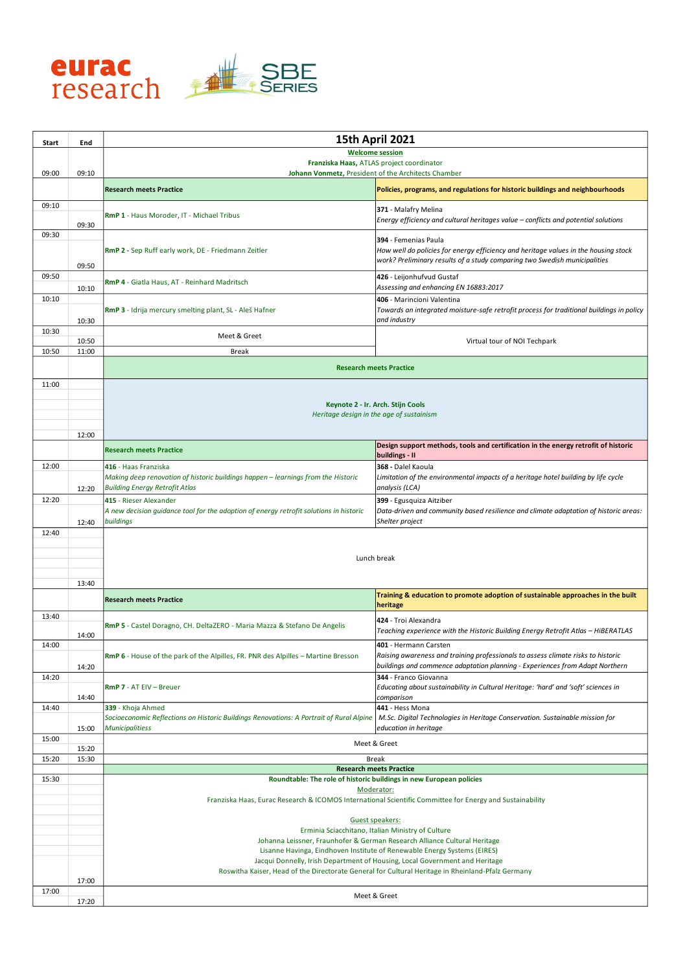

| Start | End   | <b>15th April 2021</b>                                                                                                                                                                                                                                                                                                                                                                                            |                                                                                                                                                                                           |  |
|-------|-------|-------------------------------------------------------------------------------------------------------------------------------------------------------------------------------------------------------------------------------------------------------------------------------------------------------------------------------------------------------------------------------------------------------------------|-------------------------------------------------------------------------------------------------------------------------------------------------------------------------------------------|--|
|       |       | <b>Welcome session</b>                                                                                                                                                                                                                                                                                                                                                                                            |                                                                                                                                                                                           |  |
| 09:00 | 09:10 | Franziska Haas, ATLAS project coordinator<br>Johann Vonmetz, President of the Architects Chamber                                                                                                                                                                                                                                                                                                                  |                                                                                                                                                                                           |  |
|       |       | <b>Research meets Practice</b>                                                                                                                                                                                                                                                                                                                                                                                    | Policies, programs, and regulations for historic buildings and neighbourhoods                                                                                                             |  |
| 09:10 | 09:30 | RmP 1 - Haus Moroder, IT - Michael Tribus                                                                                                                                                                                                                                                                                                                                                                         | 371 - Malafry Melina<br>Energy efficiency and cultural heritages value - conflicts and potential solutions                                                                                |  |
| 09:30 | 09:50 | RmP 2 - Sep Ruff early work, DE - Friedmann Zeitler                                                                                                                                                                                                                                                                                                                                                               | 394 - Femenias Paula<br>How well do policies for energy efficiency and heritage values in the housing stock<br>work? Preliminary results of a study comparing two Swedish municipalities  |  |
| 09:50 | 10:10 | RmP 4 - Giatla Haus, AT - Reinhard Madritsch                                                                                                                                                                                                                                                                                                                                                                      | 426 - Leijonhufvud Gustaf<br>Assessing and enhancing EN 16883:2017                                                                                                                        |  |
| 10:10 | 10:30 | RmP 3 - Idrija mercury smelting plant, SL - Aleš Hafner                                                                                                                                                                                                                                                                                                                                                           | 406 - Marincioni Valentina<br>Towards an integrated moisture-safe retrofit process for traditional buildings in policy<br>and industry                                                    |  |
| 10:30 | 10:50 | Meet & Greet                                                                                                                                                                                                                                                                                                                                                                                                      | Virtual tour of NOI Techpark                                                                                                                                                              |  |
| 10:50 | 11:00 | <b>Break</b>                                                                                                                                                                                                                                                                                                                                                                                                      |                                                                                                                                                                                           |  |
|       |       |                                                                                                                                                                                                                                                                                                                                                                                                                   | <b>Research meets Practice</b>                                                                                                                                                            |  |
| 11:00 | 12:00 | Keynote 2 - Ir. Arch. Stijn Cools<br>Heritage design in the age of sustainism                                                                                                                                                                                                                                                                                                                                     |                                                                                                                                                                                           |  |
|       |       | <b>Research meets Practice</b>                                                                                                                                                                                                                                                                                                                                                                                    | Design support methods, tools and certification in the energy retrofit of historic<br>buildings - II                                                                                      |  |
| 12:00 | 12:20 | 416 - Haas Franziska<br>Making deep renovation of historic buildings happen - learnings from the Historic<br><b>Building Energy Retrofit Atlas</b>                                                                                                                                                                                                                                                                | 368 - Dalel Kaoula<br>Limitation of the environmental impacts of a heritage hotel building by life cycle<br>analysis (LCA)                                                                |  |
| 12:20 | 12:40 | 415 - Rieser Alexander<br>A new decision guidance tool for the adoption of energy retrofit solutions in historic<br>buildings                                                                                                                                                                                                                                                                                     | 399 - Egusquiza Aitziber<br>Data-driven and community based resilience and climate adaptation of historic areas:<br>Shelter project                                                       |  |
|       | 13:40 | Lunch break                                                                                                                                                                                                                                                                                                                                                                                                       |                                                                                                                                                                                           |  |
|       |       | <b>Research meets Practice</b>                                                                                                                                                                                                                                                                                                                                                                                    | Training & education to promote adoption of sustainable approaches in the built<br>heritage                                                                                               |  |
| 13:40 | 14:00 | RmP 5 - Castel Doragno, CH. DeltaZERO - Maria Mazza & Stefano De Angelis                                                                                                                                                                                                                                                                                                                                          | 424 - Troi Alexandra<br>Teaching experience with the Historic Building Energy Retrofit Atlas - HiBERATLAS                                                                                 |  |
| 14:00 | 14:20 | <b>RmP 6</b> - House of the park of the Alpilles, FR. PNR des Alpilles – Martine Bresson                                                                                                                                                                                                                                                                                                                          | 401 - Hermann Carsten<br>Raising awareness and training professionals to assess climate risks to historic<br>buildings and commence adaptation planning - Experiences from Adapt Northern |  |
| 14:20 | 14:40 | <b>RmP 7 - AT EIV - Breuer</b>                                                                                                                                                                                                                                                                                                                                                                                    | 344 - Franco Giovanna<br>Educating about sustainability in Cultural Heritage: 'hard' and 'soft' sciences in<br>comparison                                                                 |  |
| 14:40 | 15:00 | 339 - Khoja Ahmed<br>Socioeconomic Reflections on Historic Buildings Renovations: A Portrait of Rural Alpine<br><b>Municipalitiess</b>                                                                                                                                                                                                                                                                            | 441 - Hess Mona<br>M.Sc. Digital Technologies in Heritage Conservation. Sustainable mission for<br>education in heritage                                                                  |  |
| 15:00 | 15:20 |                                                                                                                                                                                                                                                                                                                                                                                                                   | Meet & Greet                                                                                                                                                                              |  |
| 15:20 | 15:30 | <b>Break</b>                                                                                                                                                                                                                                                                                                                                                                                                      |                                                                                                                                                                                           |  |
| 15:30 |       |                                                                                                                                                                                                                                                                                                                                                                                                                   | <b>Research meets Practice</b><br>Roundtable: The role of historic buildings in new European policies                                                                                     |  |
|       |       | Moderator:<br>Franziska Haas, Eurac Research & ICOMOS International Scientific Committee for Energy and Sustainability                                                                                                                                                                                                                                                                                            |                                                                                                                                                                                           |  |
| 17:00 | 17:00 | Guest speakers:<br>Erminia Sciacchitano, Italian Ministry of Culture<br>Johanna Leissner, Fraunhofer & German Research Alliance Cultural Heritage<br>Lisanne Havinga, Eindhoven Institute of Renewable Energy Systems (EIRES)<br>Jacqui Donnelly, Irish Department of Housing, Local Government and Heritage<br>Roswitha Kaiser, Head of the Directorate General for Cultural Heritage in Rheinland-Pfalz Germany |                                                                                                                                                                                           |  |
|       | 17:20 | Meet & Greet                                                                                                                                                                                                                                                                                                                                                                                                      |                                                                                                                                                                                           |  |